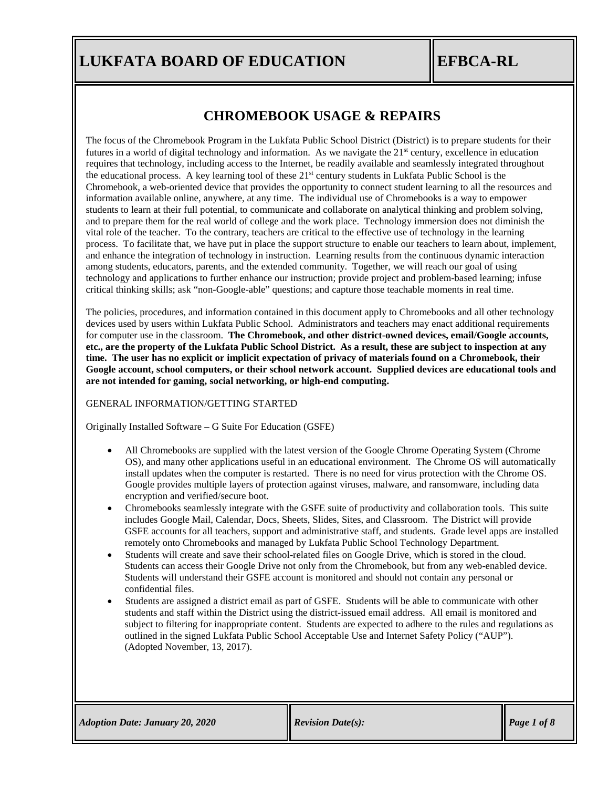### **CHROMEBOOK USAGE & REPAIRS**

critical thinking skills; ask "non-Google-able" questions; and capture those teachable moments in real time. technology and applications to further enhance our instruction; provide project and problem-based learning; infuse among students, educators, parents, and the extended community. Together, we will reach our goal of using and enhance the integration of technology in instruction. Learning results from the continuous dynamic interaction process. To facilitate that, we have put in place the support structure to enable our teachers to learn about, implement, vital role of the teacher. To the contrary, teachers are critical to the effective use of technology in the learning and to prepare them for the real world of college and the work place. Technology immersion does not diminish the students to learn at their full potential, to communicate and collaborate on analytical thinking and problem solving, information available online, anywhere, at any time. The individual use of Chromebooks is a way to empower Chromebook, a web-oriented device that provides the opportunity to connect student learning to all the resources and the educational process. A key learning tool of these  $21<sup>st</sup>$  century students in Lukfata Public School is the requires that technology, including access to the Internet, be readily available and seamlessly integrated throughout futures in a world of digital technology and information. As we navigate the  $21<sup>st</sup>$  century, excellence in education The focus of the Chromebook Program in the Lukfata Public School District (District) is to prepare students for their

**are not intended for gaming, social networking, or high-end computing. Google account, school computers, or their school network account. Supplied devices are educational tools and time. The user has no explicit or implicit expectation of privacy of materials found on a Chromebook, their etc., are the property of the Lukfata Public School District. As a result, these are subject to inspection at any**  for computer use in the classroom. **The Chromebook, and other district-owned devices, email/Google accounts,** devices used by users within Lukfata Public School. Administrators and teachers may enact additional requirements The policies, procedures, and information contained in this document apply to Chromebooks and all other technology

### GENERAL INFORMATION/GETTING STARTED

Originally Installed Software – G Suite For Education (GSFE)

- encryption and verified/secure boot. Google provides multiple layers of protection against viruses, malware, and ransomware, including data install updates when the computer is restarted. There is no need for virus protection with the Chrome OS. OS), and many other applications useful in an educational environment. The Chrome OS will automatically • All Chromebooks are supplied with the latest version of the Google Chrome Operating System (Chrome
- remotely onto Chromebooks and managed by Lukfata Public School Technology Department. GSFE accounts for all teachers, support and administrative staff, and students. Grade level apps are installed includes Google Mail, Calendar, Docs, Sheets, Slides, Sites, and Classroom. The District will provide • Chromebooks seamlessly integrate with the GSFE suite of productivity and collaboration tools. This suite
- confidential files. Students will understand their GSFE account is monitored and should not contain any personal or Students can access their Google Drive not only from the Chromebook, but from any web-enabled device. • Students will create and save their school-related files on Google Drive, which is stored in the cloud.
- (Adopted November, 13, 2017). outlined in the signed Lukfata Public School Acceptable Use and Internet Safety Policy ("AUP"). subject to filtering for inappropriate content. Students are expected to adhere to the rules and regulations as students and staff within the District using the district-issued email address. All email is monitored and • Students are assigned a district email as part of GSFE. Students will be able to communicate with other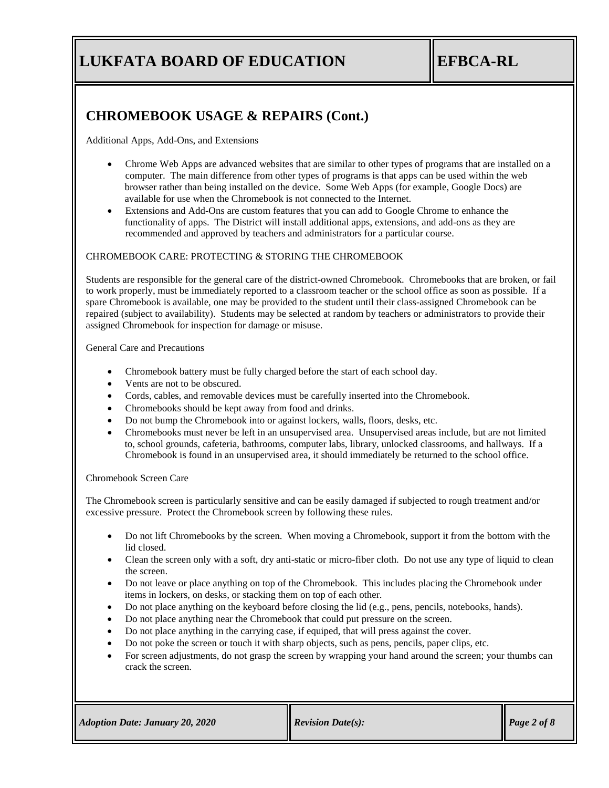**EFBCA-RL**

## **CHROMEBOOK USAGE & REPAIRS (Cont.)**

Additional Apps, Add-Ons, and Extensions

- available for use when the Chromebook is not connected to the Internet. browser rather than being installed on the device. Some Web Apps (for example, Google Docs) are computer. The main difference from other types of programs is that apps can be used within the web • Chrome Web Apps are advanced websites that are similar to other types of programs that are installed on a
- recommended and approved by teachers and administrators for a particular course. functionality of apps. The District will install additional apps, extensions, and add-ons as they are • Extensions and Add-Ons are custom features that you can add to Google Chrome to enhance the

### CHROMEBOOK CARE: PROTECTING & STORING THE CHROMEBOOK

assigned Chromebook for inspection for damage or misuse. repaired (subject to availability). Students may be selected at random by teachers or administrators to provide their spare Chromebook is available, one may be provided to the student until their class-assigned Chromebook can be to work properly, must be immediately reported to a classroom teacher or the school office as soon as possible. If a Students are responsible for the general care of the district-owned Chromebook. Chromebooks that are broken, or fail

General Care and Precautions

- Chromebook battery must be fully charged before the start of each school day.
- Vents are not to be obscured.
- Cords, cables, and removable devices must be carefully inserted into the Chromebook.
- Chromebooks should be kept away from food and drinks.
- Do not bump the Chromebook into or against lockers, walls, floors, desks, etc.
- Chromebook is found in an unsupervised area, it should immediately be returned to the school office. to, school grounds, cafeteria, bathrooms, computer labs, library, unlocked classrooms, and hallways. If a • Chromebooks must never be left in an unsupervised area. Unsupervised areas include, but are not limited

Chromebook Screen Care

excessive pressure. Protect the Chromebook screen by following these rules. The Chromebook screen is particularly sensitive and can be easily damaged if subjected to rough treatment and/or

- lid closed. • Do not lift Chromebooks by the screen. When moving a Chromebook, support it from the bottom with the
- the screen. • Clean the screen only with a soft, dry anti-static or micro-fiber cloth. Do not use any type of liquid to clean
- • Do not leave or place anything on top of the Chromebook. This includes placing the Chromebook under items in lockers, on desks, or stacking them on top of each other.
- Do not place anything on the keyboard before closing the lid (e.g., pens, pencils, notebooks, hands).
- Do not place anything near the Chromebook that could put pressure on the screen.
- Do not place anything in the carrying case, if equiped, that will press against the cover.
- Do not poke the screen or touch it with sharp objects, such as pens, pencils, paper clips, etc.
- crack the screen. • For screen adjustments, do not grasp the screen by wrapping your hand around the screen; your thumbs can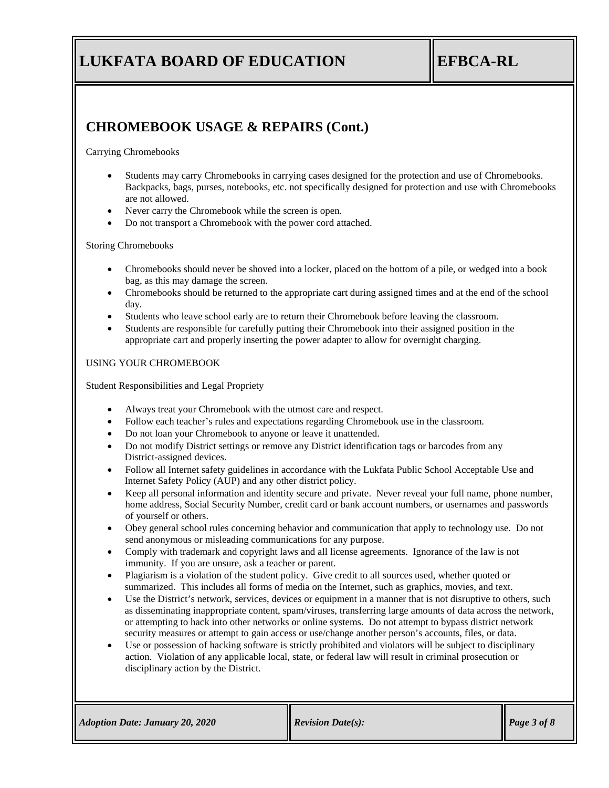**EFBCA-RL**

## **CHROMEBOOK USAGE & REPAIRS (Cont.)**

Carrying Chromebooks

- are not allowed. Backpacks, bags, purses, notebooks, etc. not specifically designed for protection and use with Chromebooks • Students may carry Chromebooks in carrying cases designed for the protection and use of Chromebooks.
- Never carry the Chromebook while the screen is open.
- Do not transport a Chromebook with the power cord attached.

### Storing Chromebooks

- bag, as this may damage the screen. • Chromebooks should never be shoved into a locker, placed on the bottom of a pile, or wedged into a book
- day. • Chromebooks should be returned to the appropriate cart during assigned times and at the end of the school
- Students who leave school early are to return their Chromebook before leaving the classroom.
- appropriate cart and properly inserting the power adapter to allow for overnight charging. • Students are responsible for carefully putting their Chromebook into their assigned position in the

USING YOUR CHROMEBOOK

Student Responsibilities and Legal Propriety

- Always treat your Chromebook with the utmost care and respect.
- Follow each teacher's rules and expectations regarding Chromebook use in the classroom.
- Do not loan your Chromebook to anyone or leave it unattended.
- District-assigned devices. • Do not modify District settings or remove any District identification tags or barcodes from any
- Internet Safety Policy (AUP) and any other district policy. • Follow all Internet safety guidelines in accordance with the Lukfata Public School Acceptable Use and
- of yourself or others. home address, Social Security Number, credit card or bank account numbers, or usernames and passwords • Keep all personal information and identity secure and private. Never reveal your full name, phone number,
- send anonymous or misleading communications for any purpose. • Obey general school rules concerning behavior and communication that apply to technology use. Do not
- immunity. If you are unsure, ask a teacher or parent. • Comply with trademark and copyright laws and all license agreements. Ignorance of the law is not
- summarized. This includes all forms of media on the Internet, such as graphics, movies, and text. • Plagiarism is a violation of the student policy. Give credit to all sources used, whether quoted or
- security measures or attempt to gain access or use/change another person's accounts, files, or data. or attempting to hack into other networks or online systems. Do not attempt to bypass district network as disseminating inappropriate content, spam/viruses, transferring large amounts of data across the network, Use the District's network, services, devices or equipment in a manner that is not disruptive to others, such
- disciplinary action by the District. action. Violation of any applicable local, state, or federal law will result in criminal prosecution or • Use or possession of hacking software is strictly prohibited and violators will be subject to disciplinary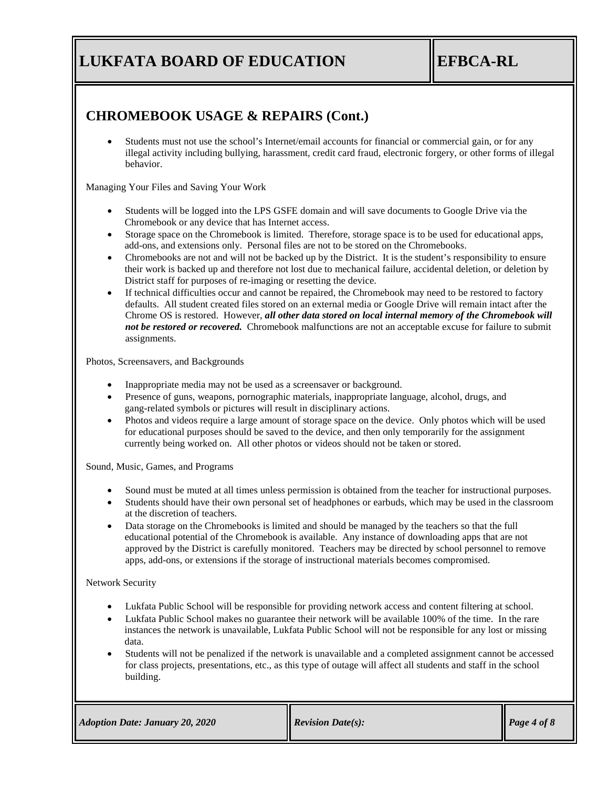**EFBCA-RL**

### **CHROMEBOOK USAGE & REPAIRS (Cont.)**

behavior. illegal activity including bullying, harassment, credit card fraud, electronic forgery, or other forms of illegal • Students must not use the school's Internet/email accounts for financial or commercial gain, or for any

Managing Your Files and Saving Your Work

- Students will be logged into the LPS GSFE domain and will save documents to Google Drive via the Chromebook or any device that has Internet access.
- add-ons, and extensions only. Personal files are not to be stored on the Chromebooks. • Storage space on the Chromebook is limited. Therefore, storage space is to be used for educational apps,
- District staff for purposes of re-imaging or resetting the device. their work is backed up and therefore not lost due to mechanical failure, accidental deletion, or deletion by • Chromebooks are not and will not be backed up by the District. It is the student's responsibility to ensure
- *not be restored or recovered.* Chromebook malfunctions are not an acceptable excuse for failure to submit assignments. Chrome OS is restored. However, *all other data stored on local internal memory of the Chromebook will* defaults. All student created files stored on an external media or Google Drive will remain intact after the If technical difficulties occur and cannot be repaired, the Chromebook may need to be restored to factory

Photos, Screensavers, and Backgrounds

- Inappropriate media may not be used as a screensaver or background.
- gang-related symbols or pictures will result in disciplinary actions. • Presence of guns, weapons, pornographic materials, inappropriate language, alcohol, drugs, and
- currently being worked on. All other photos or videos should not be taken or stored. for educational purposes should be saved to the device, and then only temporarily for the assignment • Photos and videos require a large amount of storage space on the device. Only photos which will be used

Sound, Music, Games, and Programs

- Sound must be muted at all times unless permission is obtained from the teacher for instructional purposes.
- at the discretion of teachers. • Students should have their own personal set of headphones or earbuds, which may be used in the classroom
- apps, add-ons, or extensions if the storage of instructional materials becomes compromised. approved by the District is carefully monitored. Teachers may be directed by school personnel to remove educational potential of the Chromebook is available. Any instance of downloading apps that are not • Data storage on the Chromebooks is limited and should be managed by the teachers so that the full

### Network Security

- Lukfata Public School will be responsible for providing network access and content filtering at school.
- data. instances the network is unavailable, Lukfata Public School will not be responsible for any lost or missing • Lukfata Public School makes no guarantee their network will be available 100% of the time. In the rare
- building. for class projects, presentations, etc., as this type of outage will affect all students and staff in the school • Students will not be penalized if the network is unavailable and a completed assignment cannot be accessed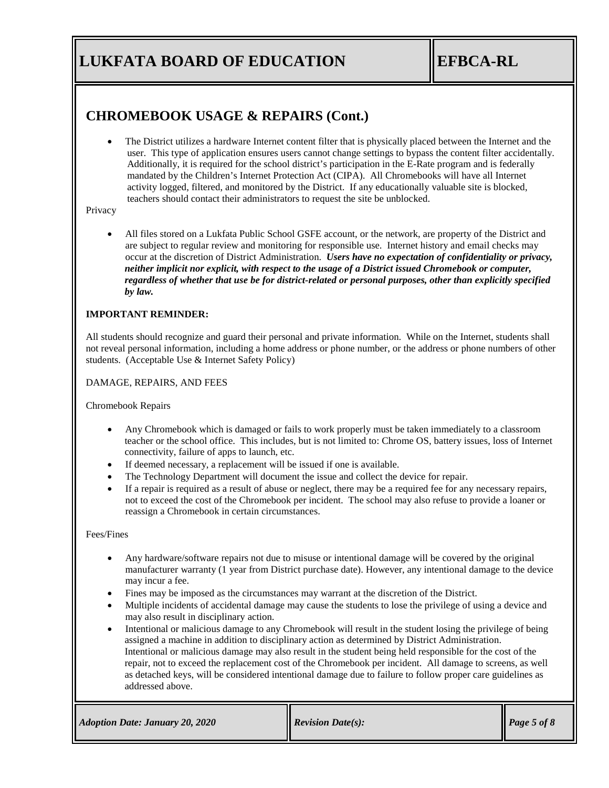# **EFBCA-RL**

### **CHROMEBOOK USAGE & REPAIRS (Cont.)**

 teachers should contact their administrators to request the site be unblocked. activity logged, filtered, and monitored by the District. If any educationally valuable site is blocked, mandated by the Children's Internet Protection Act (CIPA). All Chromebooks will have all Internet Additionally, it is required for the school district's participation in the E-Rate program and is federally user. This type of application ensures users cannot change settings to bypass the content filter accidentally. • The District utilizes a hardware Internet content filter that is physically placed between the Internet and the

#### Privacy

 *by law. regardless of whether that use be for district-related or personal purposes, other than explicitly specified neither implicit nor explicit, with respect to the usage of a District issued Chromebook or computer,* occur at the discretion of District Administration. *Users have no expectation of confidentiality or privacy,* are subject to regular review and monitoring for responsible use. Internet history and email checks may • All files stored on a Lukfata Public School GSFE account, or the network, are property of the District and

### **IMPORTANT REMINDER:**

students. (Acceptable Use & Internet Safety Policy) not reveal personal information, including a home address or phone number, or the address or phone numbers of other All students should recognize and guard their personal and private information. While on the Internet, students shall

DAMAGE, REPAIRS, AND FEES

Chromebook Repairs

- connectivity, failure of apps to launch, etc. teacher or the school office. This includes, but is not limited to: Chrome OS, battery issues, loss of Internet • Any Chromebook which is damaged or fails to work properly must be taken immediately to a classroom
- If deemed necessary, a replacement will be issued if one is available.
- The Technology Department will document the issue and collect the device for repair.
- not to exceed the cost of the Chromebook per incident. The school may also refuse to provide a loaner or • If a repair is required as a result of abuse or neglect, there may be a required fee for any necessary repairs, reassign a Chromebook in certain circumstances.

### Fees/Fines

- may incur a fee. manufacturer warranty (1 year from District purchase date). However, any intentional damage to the device • Any hardware/software repairs not due to misuse or intentional damage will be covered by the original
- Fines may be imposed as the circumstances may warrant at the discretion of the District.
- may also result in disciplinary action. • Multiple incidents of accidental damage may cause the students to lose the privilege of using a device and
- addressed above. as detached keys, will be considered intentional damage due to failure to follow proper care guidelines as repair, not to exceed the replacement cost of the Chromebook per incident. All damage to screens, as well Intentional or malicious damage may also result in the student being held responsible for the cost of the assigned a machine in addition to disciplinary action as determined by District Administration.• Intentional or malicious damage to any Chromebook will result in the student losing the privilege of being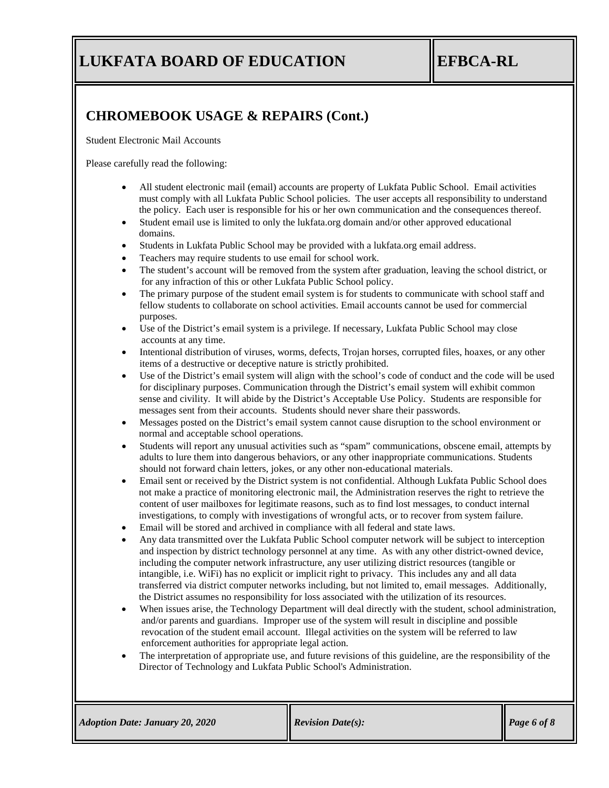**EFBCA-RL**

## **CHROMEBOOK USAGE & REPAIRS (Cont.)**

Student Electronic Mail Accounts

Please carefully read the following:

- the policy. Each user is responsible for his or her own communication and the consequences thereof. must comply with all Lukfata Public School policies. The user accepts all responsibility to understand • All student electronic mail (email) accounts are property of Lukfata Public School. Email activities
- domains. • Student email use is limited to only the lukfata.org domain and/or other approved educational
- Students in Lukfata Public School may be provided with a lukfata.org email address.
- Teachers may require students to use email for school work.
- for any infraction of this or other Lukfata Public School policy. • The student's account will be removed from the system after graduation, leaving the school district, or
- purposes. fellow students to collaborate on school activities. Email accounts cannot be used for commercial • The primary purpose of the student email system is for students to communicate with school staff and
- accounts at any time. • Use of the District's email system is a privilege. If necessary, Lukfata Public School may close
- items of a destructive or deceptive nature is strictly prohibited. • Intentional distribution of viruses, worms, defects, Trojan horses, corrupted files, hoaxes, or any other
- messages sent from their accounts. Students should never share their passwords. sense and civility. It will abide by the District's Acceptable Use Policy. Students are responsible for for disciplinary purposes. Communication through the District's email system will exhibit common • Use of the District's email system will align with the school's code of conduct and the code will be used
- normal and acceptable school operations. • Messages posted on the District's email system cannot cause disruption to the school environment or
- should not forward chain letters, jokes, or any other non-educational materials. adults to lure them into dangerous behaviors, or any other inappropriate communications. Students • Students will report any unusual activities such as "spam" communications, obscene email, attempts by
- investigations, to comply with investigations of wrongful acts, or to recover from system failure. content of user mailboxes for legitimate reasons, such as to find lost messages, to conduct internal not make a practice of monitoring electronic mail, the Administration reserves the right to retrieve the • Email sent or received by the District system is not confidential. Although Lukfata Public School does
- Email will be stored and archived in compliance with all federal and state laws.
- transferred via district computer networks including, but not limited to, email messages. Additionally, the District assumes no responsibility for loss associated with the utilization of its resources. intangible, i.e. WiFi) has no explicit or implicit right to privacy. This includes any and all data including the computer network infrastructure, any user utilizing district resources (tangible or and inspection by district technology personnel at any time. As with any other district-owned device, • Any data transmitted over the Lukfata Public School computer network will be subject to interception
- revocation of the student email account. Illegal activities on the system will be referred to law enforcement authorities for appropriate legal action. and/or parents and guardians. Improper use of the system will result in discipline and possible When issues arise, the Technology Department will deal directly with the student, school administration,
- Director of Technology and Lukfata Public School's Administration. • The interpretation of appropriate use, and future revisions of this guideline, are the responsibility of the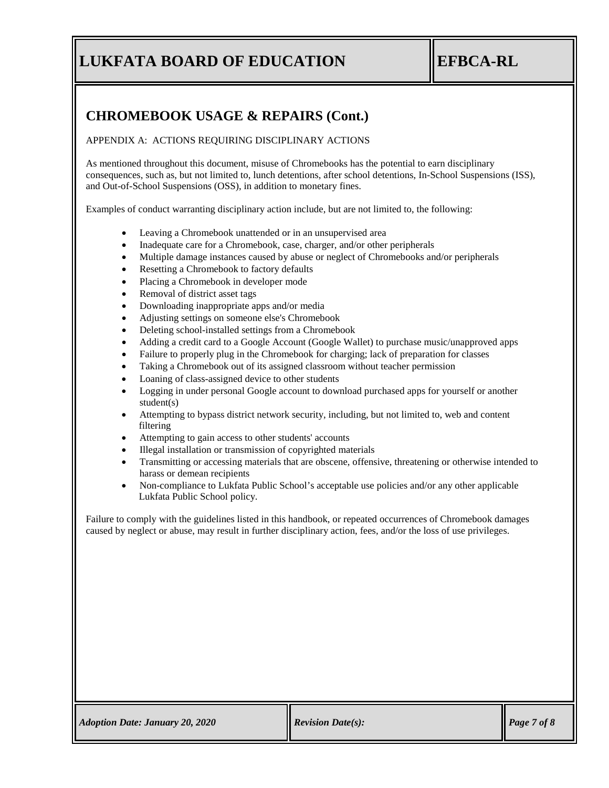# **EFBCA-RL**

## **CHROMEBOOK USAGE & REPAIRS (Cont.)**

APPENDIX A: ACTIONS REQUIRING DISCIPLINARY ACTIONS

and Out-of-School Suspensions (OSS), in addition to monetary fines. consequences, such as, but not limited to, lunch detentions, after school detentions, In-School Suspensions (ISS), As mentioned throughout this document, misuse of Chromebooks has the potential to earn disciplinary

Examples of conduct warranting disciplinary action include, but are not limited to, the following:

- Leaving a Chromebook unattended or in an unsupervised area
- Inadequate care for a Chromebook, case, charger, and/or other peripherals
- Multiple damage instances caused by abuse or neglect of Chromebooks and/or peripherals
- Resetting a Chromebook to factory defaults
- Placing a Chromebook in developer mode
- Removal of district asset tags
- Downloading inappropriate apps and/or media
- Adjusting settings on someone else's Chromebook
- Deleting school-installed settings from a Chromebook
- Adding a credit card to a Google Account (Google Wallet) to purchase music/unapproved apps
- Failure to properly plug in the Chromebook for charging; lack of preparation for classes
- Taking a Chromebook out of its assigned classroom without teacher permission
- Loaning of class-assigned device to other students
- student(s) • Logging in under personal Google account to download purchased apps for yourself or another
- filtering • Attempting to bypass district network security, including, but not limited to, web and content
- Attempting to gain access to other students' accounts
- Illegal installation or transmission of copyrighted materials
- harass or demean recipients • Transmitting or accessing materials that are obscene, offensive, threatening or otherwise intended to
- Lukfata Public School policy. • Non-compliance to Lukfata Public School's acceptable use policies and/or any other applicable

caused by neglect or abuse, may result in further disciplinary action, fees, and/or the loss of use privileges. Failure to comply with the guidelines listed in this handbook, or repeated occurrences of Chromebook damages